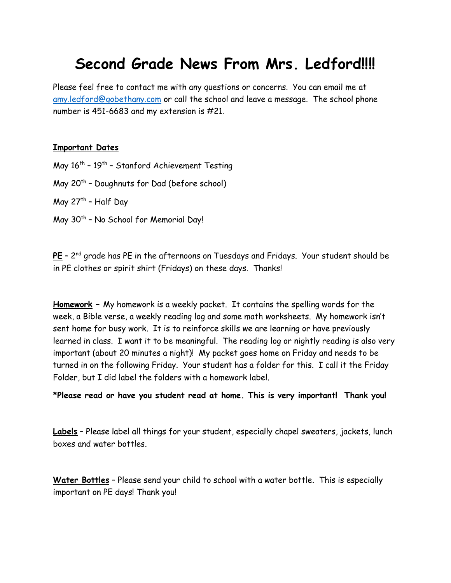# **Second Grade News From Mrs. Ledford!!!!**

Please feel free to contact me with any questions or concerns. You can email me at [amy.ledford@gobethany.com](mailto:amy.ledford@gobethany.com) or call the school and leave a message. The school phone number is 451-6683 and my extension is #21.

#### **Important Dates**

May 16<sup>th</sup> – 19<sup>th</sup> – Stanford Achievement Testing

May 20<sup>th</sup> - Doughnuts for Dad (before school)

May 27<sup>th</sup> – Half Day

May 30<sup>th</sup> - No School for Memorial Day!

**PE** – 2 nd grade has PE in the afternoons on Tuesdays and Fridays. Your student should be in PE clothes or spirit shirt (Fridays) on these days. Thanks!

**Homework –** My homework is a weekly packet. It contains the spelling words for the week, a Bible verse, a weekly reading log and some math worksheets. My homework isn't sent home for busy work. It is to reinforce skills we are learning or have previously learned in class. I want it to be meaningful. The reading log or nightly reading is also very important (about 20 minutes a night)! My packet goes home on Friday and needs to be turned in on the following Friday. Your student has a folder for this. I call it the Friday Folder, but I did label the folders with a homework label.

**\*Please read or have you student read at home. This is very important! Thank you!**

**Labels** – Please label all things for your student, especially chapel sweaters, jackets, lunch boxes and water bottles.

**Water Bottles** – Please send your child to school with a water bottle. This is especially important on PE days! Thank you!